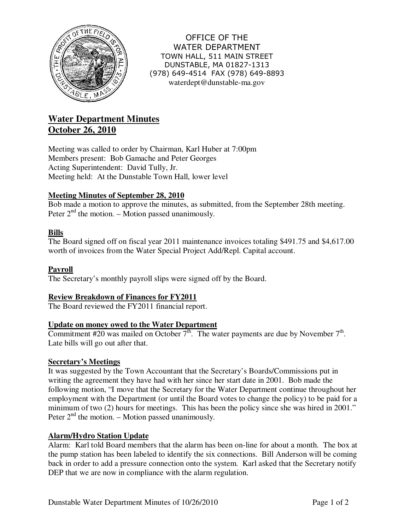

OFFICE OF THE WATER DEPARTMENT TOWN HALL, 511 MAIN STREET DUNSTABLE, MA 01827-1313 (978) 649-4514 FAX (978) 649-8893 waterdept@dunstable-ma.gov

# **Water Department Minutes October 26, 2010**

Meeting was called to order by Chairman, Karl Huber at 7:00pm Members present: Bob Gamache and Peter Georges Acting Superintendent: David Tully, Jr. Meeting held: At the Dunstable Town Hall, lower level

# **Meeting Minutes of September 28, 2010**

Bob made a motion to approve the minutes, as submitted, from the September 28th meeting. Peter  $2<sup>nd</sup>$  the motion. – Motion passed unanimously.

# **Bills**

The Board signed off on fiscal year 2011 maintenance invoices totaling \$491.75 and \$4,617.00 worth of invoices from the Water Special Project Add/Repl. Capital account.

# **Payroll**

The Secretary's monthly payroll slips were signed off by the Board.

# **Review Breakdown of Finances for FY2011**

The Board reviewed the FY2011 financial report.

# **Update on money owed to the Water Department**

Commitment #20 was mailed on October  $7<sup>th</sup>$ . The water payments are due by November  $7<sup>th</sup>$ . Late bills will go out after that.

# **Secretary's Meetings**

It was suggested by the Town Accountant that the Secretary's Boards/Commissions put in writing the agreement they have had with her since her start date in 2001. Bob made the following motion, "I move that the Secretary for the Water Department continue throughout her employment with the Department (or until the Board votes to change the policy) to be paid for a minimum of two (2) hours for meetings. This has been the policy since she was hired in 2001." Peter  $2<sup>nd</sup>$  the motion. – Motion passed unanimously.

# **Alarm/Hydro Station Update**

Alarm: Karl told Board members that the alarm has been on-line for about a month. The box at the pump station has been labeled to identify the six connections. Bill Anderson will be coming back in order to add a pressure connection onto the system. Karl asked that the Secretary notify DEP that we are now in compliance with the alarm regulation.